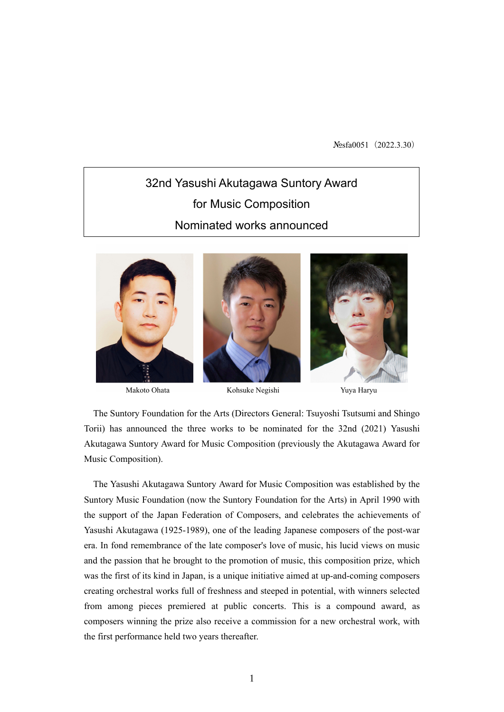Nosfa0051 (2022.3.30)

# 32nd Yasushi Akutagawa Suntory Award for Music Composition Nominated works announced







The Suntory Foundation for the Arts (Directors General: Tsuyoshi Tsutsumi and Shingo Torii) has announced the three works to be nominated for the 32nd (2021) Yasushi Akutagawa Suntory Award for Music Composition (previously the Akutagawa Award for Music Composition).

The Yasushi Akutagawa Suntory Award for Music Composition was established by the Suntory Music Foundation (now the Suntory Foundation for the Arts) in April 1990 with the support of the Japan Federation of Composers, and celebrates the achievements of Yasushi Akutagawa (1925-1989), one of the leading Japanese composers of the post-war era. In fond remembrance of the late composer's love of music, his lucid views on music and the passion that he brought to the promotion of music, this composition prize, which was the first of its kind in Japan, is a unique initiative aimed at up-and-coming composers creating orchestral works full of freshness and steeped in potential, with winners selected from among pieces premiered at public concerts. This is a compound award, as composers winning the prize also receive a commission for a new orchestral work, with the first performance held two years thereafter.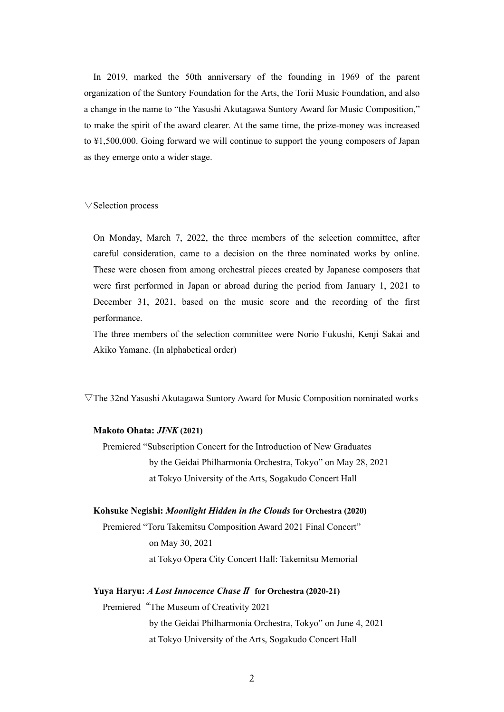In 2019, marked the 50th anniversary of the founding in 1969 of the parent organization of the Suntory Foundation for the Arts, the Torii Music Foundation, and also a change in the name to "the Yasushi Akutagawa Suntory Award for Music Composition," to make the spirit of the award clearer. At the same time, the prize-money was increased to ¥1,500,000. Going forward we will continue to support the young composers of Japan as they emerge onto a wider stage.

▽Selection process

On Monday, March 7, 2022, the three members of the selection committee, after careful consideration, came to a decision on the three nominated works by online. These were chosen from among orchestral pieces created by Japanese composers that were first performed in Japan or abroad during the period from January 1, 2021 to December 31, 2021, based on the music score and the recording of the first performance.

The three members of the selection committee were Norio Fukushi, Kenji Sakai and Akiko Yamane. (In alphabetical order)

 $\nabla$ The 32nd Yasushi Akutagawa Suntory Award for Music Composition nominated works

## **Makoto Ohata:** *JINK* **(2021)**

Premiered "Subscription Concert for the Introduction of New Graduates by the Geidai Philharmonia Orchestra, Tokyo" on May 28, 2021 at Tokyo University of the Arts, Sogakudo Concert Hall

#### **Kohsuke Negishi:** *Moonlight Hidden in the Clouds* **for Orchestra (2020)**

Premiered "Toru Takemitsu Composition Award 2021 Final Concert" on May 30, 2021 at Tokyo Opera City Concert Hall: Takemitsu Memorial

## **Yuya Haryu:** *A Lost Innocence Chase*Ⅱ **for Orchestra (2020-21)**

Premiered"The Museum of Creativity 2021 by the Geidai Philharmonia Orchestra, Tokyo" on June 4, 2021 at Tokyo University of the Arts, Sogakudo Concert Hall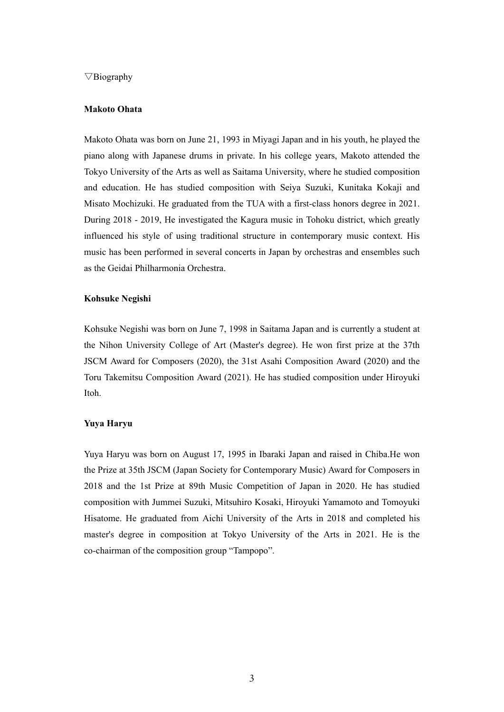## $\nabla$ Biography

### **Makoto Ohata**

Makoto Ohata was born on June 21, 1993 in Miyagi Japan and in his youth, he played the piano along with Japanese drums in private. In his college years, Makoto attended the Tokyo University of the Arts as well as Saitama University, where he studied composition and education. He has studied composition with Seiya Suzuki, Kunitaka Kokaji and Misato Mochizuki. He graduated from the TUA with a first-class honors degree in 2021. During 2018 - 2019, He investigated the Kagura music in Tohoku district, which greatly influenced his style of using traditional structure in contemporary music context. His music has been performed in several concerts in Japan by orchestras and ensembles such as the Geidai Philharmonia Orchestra.

#### **Kohsuke Negishi**

Kohsuke Negishi was born on June 7, 1998 in Saitama Japan and is currently a student at the Nihon University College of Art (Master's degree). He won first prize at the 37th JSCM Award for Composers (2020), the 31st Asahi Composition Award (2020) and the Toru Takemitsu Composition Award (2021). He has studied composition under Hiroyuki Itoh.

#### **Yuya Haryu**

Yuya Haryu was born on August 17, 1995 in Ibaraki Japan and raised in Chiba.He won the Prize at 35th JSCM (Japan Society for Contemporary Music) Award for Composers in 2018 and the 1st Prize at 89th Music Competition of Japan in 2020. He has studied composition with Jummei Suzuki, Mitsuhiro Kosaki, Hiroyuki Yamamoto and Tomoyuki Hisatome. He graduated from Aichi University of the Arts in 2018 and completed his master's degree in composition at Tokyo University of the Arts in 2021. He is the co-chairman of the composition group "Tampopo".